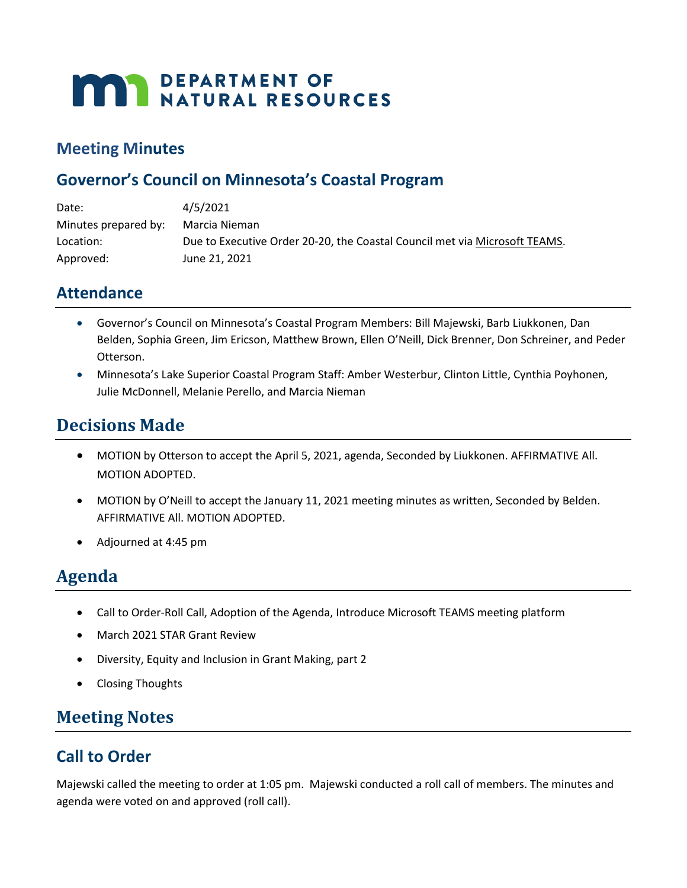# **MAY DEPARTMENT OF NATURAL RESOURCES**

## **Meeting Minutes**

## **Governor's Council on Minnesota's Coastal Program**

| Date:                | 4/5/2021                                                                   |
|----------------------|----------------------------------------------------------------------------|
| Minutes prepared by: | Marcia Nieman                                                              |
| Location:            | Due to Executive Order 20-20, the Coastal Council met via Microsoft TEAMS. |
| Approved:            | June 21, 2021                                                              |

## **Attendance**

- Governor's Council on Minnesota's Coastal Program Members: Bill Majewski, Barb Liukkonen, Dan Belden, Sophia Green, Jim Ericson, Matthew Brown, Ellen O'Neill, Dick Brenner, Don Schreiner, and Peder Otterson.
- Minnesota's Lake Superior Coastal Program Staff: Amber Westerbur, Clinton Little, Cynthia Poyhonen, Julie McDonnell, Melanie Perello, and Marcia Nieman

## **Decisions Made**

- MOTION by Otterson to accept the April 5, 2021, agenda, Seconded by Liukkonen. AFFIRMATIVE All. MOTION ADOPTED.
- MOTION by O'Neill to accept the January 11, 2021 meeting minutes as written, Seconded by Belden. AFFIRMATIVE All. MOTION ADOPTED.
- Adjourned at 4:45 pm

## **Agenda**

- Call to Order-Roll Call, Adoption of the Agenda, Introduce Microsoft TEAMS meeting platform
- March 2021 STAR Grant Review
- Diversity, Equity and Inclusion in Grant Making, part 2
- Closing Thoughts

## **Meeting Notes**

## **Call to Order**

Majewski called the meeting to order at 1:05 pm. Majewski conducted a roll call of members. The minutes and agenda were voted on and approved (roll call).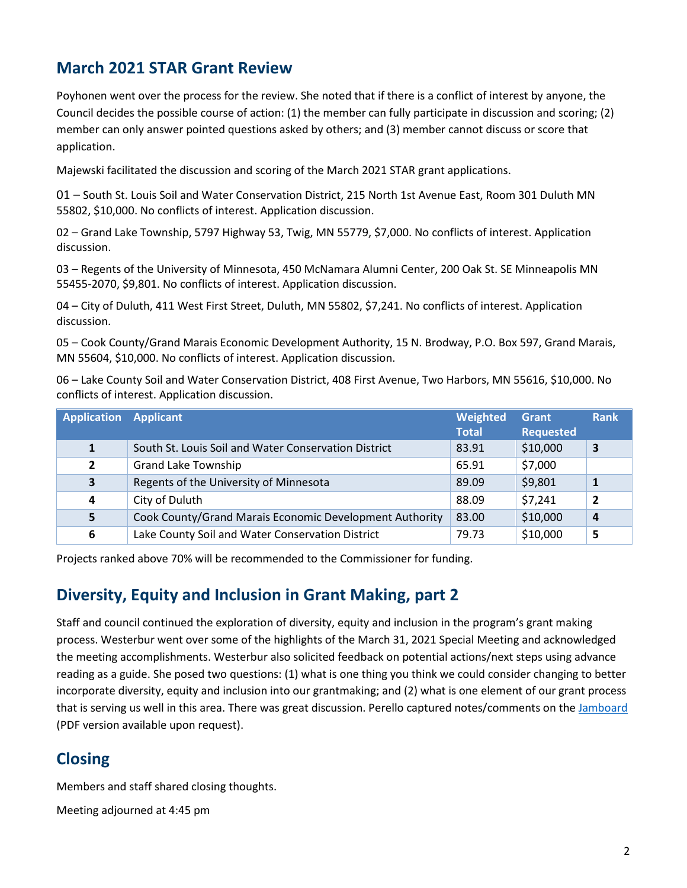## **March 2021 STAR Grant Review**

Poyhonen went over the process for the review. She noted that if there is a conflict of interest by anyone, the Council decides the possible course of action: (1) the member can fully participate in discussion and scoring; (2) member can only answer pointed questions asked by others; and (3) member cannot discuss or score that application.

Majewski facilitated the discussion and scoring of the March 2021 STAR grant applications.

01 – South St. Louis Soil and Water Conservation District, 215 North 1st Avenue East, Room 301 Duluth MN 55802, \$10,000. No conflicts of interest. Application discussion.

02 – Grand Lake Township, 5797 Highway 53, Twig, MN 55779, \$7,000. No conflicts of interest. Application discussion.

03 – Regents of the University of Minnesota, 450 McNamara Alumni Center, 200 Oak St. SE Minneapolis MN 55455-2070, \$9,801. No conflicts of interest. Application discussion.

04 – City of Duluth, 411 West First Street, Duluth, MN 55802, \$7,241. No conflicts of interest. Application discussion.

05 – Cook County/Grand Marais Economic Development Authority, 15 N. Brodway, P.O. Box 597, Grand Marais, MN 55604, \$10,000. No conflicts of interest. Application discussion.

06 – Lake County Soil and Water Conservation District, 408 First Avenue, Two Harbors, MN 55616, \$10,000. No conflicts of interest. Application discussion.

| <b>Application Applicant</b> |                                                         | Weighted<br><b>Total</b> | Grant<br><b>Requested</b> | <b>Rank</b>    |
|------------------------------|---------------------------------------------------------|--------------------------|---------------------------|----------------|
| 1                            | South St. Louis Soil and Water Conservation District    | 83.91                    | \$10,000                  | 3              |
| $\overline{2}$               | <b>Grand Lake Township</b>                              | 65.91                    | \$7,000                   |                |
| 3                            | Regents of the University of Minnesota                  | 89.09                    | \$9,801                   | 1              |
| 4                            | City of Duluth                                          | 88.09                    | \$7,241                   | $\overline{2}$ |
| 5                            | Cook County/Grand Marais Economic Development Authority | 83.00                    | \$10,000                  | $\overline{a}$ |
| 6                            | Lake County Soil and Water Conservation District        | 79.73                    | \$10,000                  | 5              |

Projects ranked above 70% will be recommended to the Commissioner for funding.

## **Diversity, Equity and Inclusion in Grant Making, part 2**

Staff and council continued the exploration of diversity, equity and inclusion in the program's grant making process. Westerbur went over some of the highlights of the March 31, 2021 Special Meeting and acknowledged the meeting accomplishments. Westerbur also solicited feedback on potential actions/next steps using advance reading as a guide. She posed two questions: (1) what is one thing you think we could consider changing to better incorporate diversity, equity and inclusion into our grantmaking; and (2) what is one element of our grant process that is serving us well in this area. There was great discussion. Perello captured notes/comments on th[e Jamboard](https://gcc02.safelinks.protection.outlook.com/?url=https%3A%2F%2Fjamboard.google.com%2Fd%2F1qYA-u91_7PtdOD1BF59d8irjhxhdPqFgTmVi9sRvvxk%2Fedit%3Fusp%3Dsharing&data=04%7C01%7Camber.westerbur%40state.mn.us%7C8452917f83584a5ab18308d8f87fd22f%7Ceb14b04624c445198f26b89c2159828c%7C0%7C0%7C637532575323882298%7CUnknown%7CTWFpbGZsb3d8eyJWIjoiMC4wLjAwMDAiLCJQIjoiV2luMzIiLCJBTiI6Ik1haWwiLCJXVCI6Mn0%3D%7C1000&sdata=F8jzYpSV5lUvbhm%2BfXDxhgJ4CUKIrlTwA3MrLd8r5xA%3D&reserved=0) (PDF version available upon request).

## **Closing**

Members and staff shared closing thoughts.

Meeting adjourned at 4:45 pm